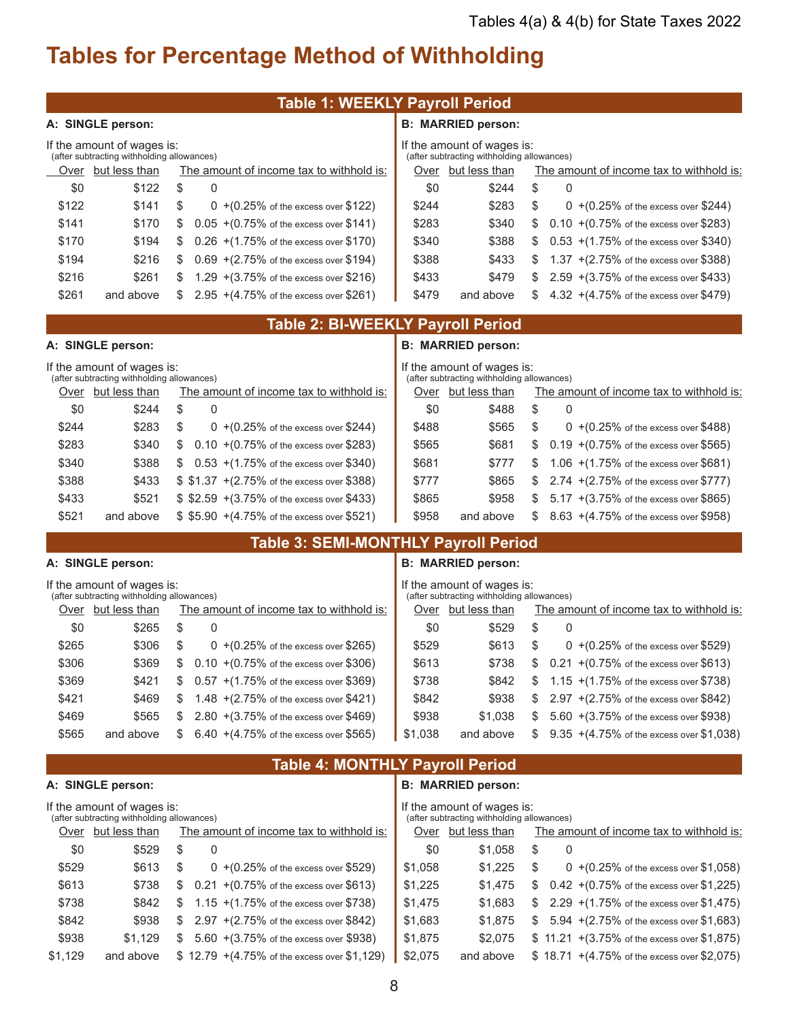\$1,225 \$1,475 \$ 0.42 +(0.75% of the excess over \$1,225) \$1,683 \$ 2.29 + (1.75% of the excess over \$1,475) \$1,683 \$1,875 \$ 5.94 +(2.75% of the excess over \$1,683) \$2,075 \$11.21 + (3.75% of the excess over \$1,875) and above  $$18.71 + (4.75\% \text{ of the excess over } $2,075)$ 

## **Tables for Percentage Method of Withholding**

|                                                                    | <b>Table 1: WEEKLY Payroll Period</b>                              |  |  |  |  |  |  |  |
|--------------------------------------------------------------------|--------------------------------------------------------------------|--|--|--|--|--|--|--|
| A: SINGLE person:                                                  | <b>B: MARRIED person:</b>                                          |  |  |  |  |  |  |  |
| If the amount of wages is:                                         | If the amount of wages is:                                         |  |  |  |  |  |  |  |
| (after subtracting withholding allowances)                         | (after subtracting withholding allowances)                         |  |  |  |  |  |  |  |
| Over but less than                                                 | Over but less than                                                 |  |  |  |  |  |  |  |
| The amount of income tax to withhold is:                           | The amount of income tax to withhold is:                           |  |  |  |  |  |  |  |
| \$0                                                                | \$0                                                                |  |  |  |  |  |  |  |
| \$122                                                              | \$244                                                              |  |  |  |  |  |  |  |
| \$                                                                 | \$                                                                 |  |  |  |  |  |  |  |
| 0                                                                  | 0                                                                  |  |  |  |  |  |  |  |
| \$122                                                              | \$283                                                              |  |  |  |  |  |  |  |
| \$141                                                              | \$                                                                 |  |  |  |  |  |  |  |
| \$                                                                 | \$244                                                              |  |  |  |  |  |  |  |
| $0 + (0.25\% \text{ of the excess over } $122)$                    | $0 + (0.25\% \text{ of the excess over } $244)$                    |  |  |  |  |  |  |  |
| $0.05 + (0.75\% \text{ of the excess over } $141)$                 | $0.10 + (0.75\% \text{ of the excess over } $283)$                 |  |  |  |  |  |  |  |
| \$141                                                              | \$283                                                              |  |  |  |  |  |  |  |
| \$170                                                              | \$340                                                              |  |  |  |  |  |  |  |
| \$                                                                 | \$                                                                 |  |  |  |  |  |  |  |
| \$170                                                              | \$340                                                              |  |  |  |  |  |  |  |
| \$194                                                              | \$388                                                              |  |  |  |  |  |  |  |
| $0.26$ +(1.75% of the excess over \$170)                           | $0.53$ +(1.75% of the excess over \$340)                           |  |  |  |  |  |  |  |
| \$                                                                 | \$                                                                 |  |  |  |  |  |  |  |
| \$194                                                              | \$388                                                              |  |  |  |  |  |  |  |
| \$216                                                              | \$433                                                              |  |  |  |  |  |  |  |
| \$                                                                 | \$                                                                 |  |  |  |  |  |  |  |
| $0.69 + (2.75\% \text{ of the excess over } $194)$                 | 1.37 $+(2.75\% \text{ of the excess over } $388)$                  |  |  |  |  |  |  |  |
| \$216                                                              | 2.59 + (3.75% of the excess over \$433)                            |  |  |  |  |  |  |  |
| \$261                                                              | \$479                                                              |  |  |  |  |  |  |  |
| 1.29 $+(3.75\% \text{ of the excess over } $216)$                  | \$433                                                              |  |  |  |  |  |  |  |
| \$                                                                 | S                                                                  |  |  |  |  |  |  |  |
| \$261                                                              | \$479                                                              |  |  |  |  |  |  |  |
| $2.95 + (4.75\% \text{ of the excess over } $261)$                 | 4.32 +(4.75% of the excess over \$479)                             |  |  |  |  |  |  |  |
| and above                                                          | and above                                                          |  |  |  |  |  |  |  |
| S                                                                  | \$                                                                 |  |  |  |  |  |  |  |
|                                                                    | <b>Table 2: BI-WEEKLY Payroll Period</b>                           |  |  |  |  |  |  |  |
| A: SINGLE person:                                                  | <b>B: MARRIED person:</b>                                          |  |  |  |  |  |  |  |
| If the amount of wages is:                                         | If the amount of wages is:                                         |  |  |  |  |  |  |  |
| (after subtracting withholding allowances)                         | (after subtracting withholding allowances)                         |  |  |  |  |  |  |  |
| The amount of income tax to withhold is:                           | The amount of income tax to withhold is:                           |  |  |  |  |  |  |  |
| Over but less than                                                 | Over but less than                                                 |  |  |  |  |  |  |  |
| \$                                                                 | \$                                                                 |  |  |  |  |  |  |  |
| $\Omega$                                                           | $\mathbf{0}$                                                       |  |  |  |  |  |  |  |
| \$0                                                                | \$0                                                                |  |  |  |  |  |  |  |
| \$244                                                              | \$488                                                              |  |  |  |  |  |  |  |
| \$244                                                              | \$488                                                              |  |  |  |  |  |  |  |
| \$283                                                              | \$565                                                              |  |  |  |  |  |  |  |
| \$                                                                 | \$                                                                 |  |  |  |  |  |  |  |
| 0 +(0.25% of the excess over \$244)                                | 0 +(0.25% of the excess over \$488)                                |  |  |  |  |  |  |  |
| \$283                                                              | $0.19 + (0.75\%$ of the excess over \$565)                         |  |  |  |  |  |  |  |
| \$340                                                              | \$565                                                              |  |  |  |  |  |  |  |
| \$                                                                 | \$681                                                              |  |  |  |  |  |  |  |
| $0.10 + (0.75\% \text{ of the excess over } $283)$                 | \$                                                                 |  |  |  |  |  |  |  |
| \$388                                                              | 1.06 +(1.75% of the excess over \$681)                             |  |  |  |  |  |  |  |
| \$340                                                              | \$681                                                              |  |  |  |  |  |  |  |
| $0.53$ +(1.75% of the excess over \$340)                           | \$777                                                              |  |  |  |  |  |  |  |
| \$                                                                 | \$                                                                 |  |  |  |  |  |  |  |
| \$388<br>\$433<br>\$ \$1.37 + (2.75% of the excess over \$388)     | \$777<br>\$865<br>2.74 + (2.75% of the excess over \$777)<br>\$    |  |  |  |  |  |  |  |
| \$521<br>\$ \$2.59 + (3.75% of the excess over \$433)<br>\$433     | 5.17 + (3.75% of the excess over \$865)<br>\$865<br>\$958<br>\$    |  |  |  |  |  |  |  |
| \$521<br>\$ \$5.90 + (4.75% of the excess over \$521)<br>and above | \$958<br>8.63 +(4.75% of the excess over \$958)<br>and above<br>\$ |  |  |  |  |  |  |  |
|                                                                    | <b>Table 3: SEMI-MONTHLY Payroll Period</b>                        |  |  |  |  |  |  |  |
| A: SINGLE person:                                                  | <b>B: MARRIED person:</b>                                          |  |  |  |  |  |  |  |
| If the amount of wages is:                                         | If the amount of wages is:                                         |  |  |  |  |  |  |  |
| (after subtracting withholding allowances)                         | (after subtracting withholding allowances)                         |  |  |  |  |  |  |  |
| Over but less than                                                 | Over but less than                                                 |  |  |  |  |  |  |  |
| The amount of income tax to withhold is:                           | The amount of income tax to withhold is:                           |  |  |  |  |  |  |  |
| \$                                                                 | \$                                                                 |  |  |  |  |  |  |  |
| \$0                                                                | \$0                                                                |  |  |  |  |  |  |  |
| 0                                                                  | 0                                                                  |  |  |  |  |  |  |  |
| \$265                                                              | \$529                                                              |  |  |  |  |  |  |  |
| \$                                                                 | \$                                                                 |  |  |  |  |  |  |  |
| \$265                                                              | \$529                                                              |  |  |  |  |  |  |  |
| \$306                                                              | \$613                                                              |  |  |  |  |  |  |  |
| $0 + (0.25\% \text{ of the excess over } $265)$                    | $0 + (0.25\% \text{ of the excess over } $529)$                    |  |  |  |  |  |  |  |
| \$369                                                              | \$738                                                              |  |  |  |  |  |  |  |
| \$306                                                              | \$613                                                              |  |  |  |  |  |  |  |
| $0.10 + (0.75\% \text{ of the excess over } $306)$                 | $0.21 + (0.75\% \text{ of the excess over } $613)$                 |  |  |  |  |  |  |  |
| \$                                                                 | \$                                                                 |  |  |  |  |  |  |  |
| \$369                                                              | \$738                                                              |  |  |  |  |  |  |  |
| \$421                                                              | \$842                                                              |  |  |  |  |  |  |  |
| $0.57$ +(1.75% of the excess over \$369)                           | 1.15 $+(1.75\% \text{ of the excess over } $738)$                  |  |  |  |  |  |  |  |
| \$                                                                 | \$                                                                 |  |  |  |  |  |  |  |
| \$421                                                              | \$938                                                              |  |  |  |  |  |  |  |
| \$469                                                              | 2.97 +(2.75% of the excess over \$842)                             |  |  |  |  |  |  |  |
| 1.48 $+(2.75\% \text{ of the excess over } $421)$                  | \$842                                                              |  |  |  |  |  |  |  |
| S                                                                  | \$                                                                 |  |  |  |  |  |  |  |
| \$469                                                              | \$1,038                                                            |  |  |  |  |  |  |  |
| \$565                                                              | \$938                                                              |  |  |  |  |  |  |  |
| $2.80 + (3.75\% \text{ of the excess over } $469)$                 | 5.60 + (3.75% of the excess over \$938)                            |  |  |  |  |  |  |  |
| \$                                                                 | S                                                                  |  |  |  |  |  |  |  |
| \$565                                                              | \$1,038                                                            |  |  |  |  |  |  |  |
| $6.40 + (4.75\% \text{ of the excess over } $565)$                 | and above                                                          |  |  |  |  |  |  |  |
| and above                                                          | 9.35 + (4.75% of the excess over \$1,038)                          |  |  |  |  |  |  |  |
| S                                                                  | S                                                                  |  |  |  |  |  |  |  |
|                                                                    | <b>Table 4: MONTHLY Payroll Period</b>                             |  |  |  |  |  |  |  |
| A: SINGLE person:                                                  | <b>B: MARRIED person:</b>                                          |  |  |  |  |  |  |  |
| If the amount of wages is:                                         | If the amount of wages is:                                         |  |  |  |  |  |  |  |
| (after subtracting withholding allowances)                         | (after subtracting withholding allowances)                         |  |  |  |  |  |  |  |
| The amount of income tax to withhold is:                           | The amount of income tax to withhold is:                           |  |  |  |  |  |  |  |
| Over but less than                                                 | Over but less than                                                 |  |  |  |  |  |  |  |
| 0                                                                  | 0                                                                  |  |  |  |  |  |  |  |
| \$0                                                                | \$                                                                 |  |  |  |  |  |  |  |
| \$                                                                 | \$0                                                                |  |  |  |  |  |  |  |
| \$529                                                              | \$1,058                                                            |  |  |  |  |  |  |  |
| \$529                                                              | \$1,058                                                            |  |  |  |  |  |  |  |
| \$613                                                              | \$1,225                                                            |  |  |  |  |  |  |  |
| \$                                                                 | \$                                                                 |  |  |  |  |  |  |  |
| $0 + (0.25\% \text{ of the excess over } $529)$                    | $0 + (0.25\% \text{ of the excess over } $1,058)$                  |  |  |  |  |  |  |  |

Ш

 $$1,225$ \$1,475 \$1,683 \$1,875 \$2,075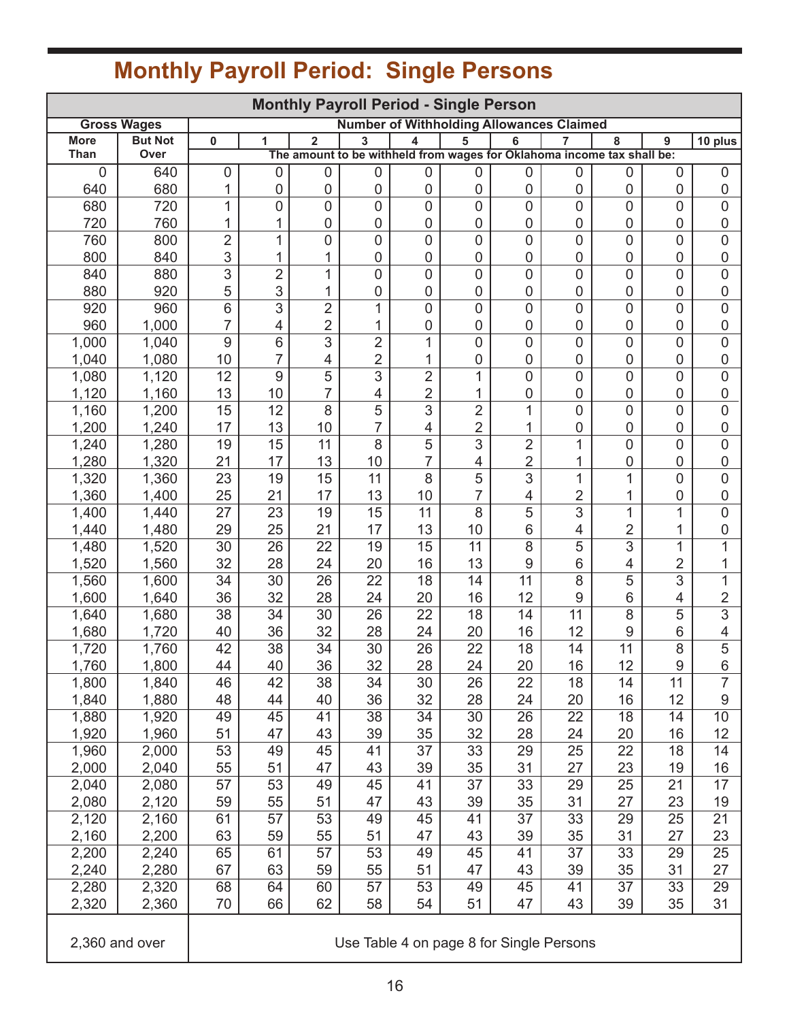| <b>Monthly Payroll Period - Single Person</b>                         |                |                |                 |                  |                 |                 |                     |                  |                     |                                                                        |                 |                          |
|-----------------------------------------------------------------------|----------------|----------------|-----------------|------------------|-----------------|-----------------|---------------------|------------------|---------------------|------------------------------------------------------------------------|-----------------|--------------------------|
| <b>Number of Withholding Allowances Claimed</b><br><b>Gross Wages</b> |                |                |                 |                  |                 |                 |                     |                  |                     |                                                                        |                 |                          |
| <b>More</b><br>Than                                                   | <b>But Not</b> | 0              | 1               | $\overline{2}$   | 3               | 4               | 5                   | 6                | 7                   | 8                                                                      | 9               | 10 plus                  |
| 0                                                                     | Over<br>640    |                |                 | $\boldsymbol{0}$ |                 |                 |                     | $\boldsymbol{0}$ | 0                   | The amount to be withheld from wages for Oklahoma income tax shall be: |                 | $\mathbf 0$              |
| 640                                                                   | 680            | 0<br>1         | 0<br>0          | $\pmb{0}$        | 0<br>0          | 0<br>0          | 0<br>0              | $\mathbf 0$      | 0                   | 0<br>0                                                                 | 0<br>0          | $\mathbf 0$              |
| 680                                                                   | 720            | 1              | 0               | 0                | $\overline{0}$  | 0               | 0                   | $\overline{0}$   | 0                   | $\overline{0}$                                                         | 0               | $\overline{0}$           |
| 720                                                                   | 760            | 1              | 1               | $\boldsymbol{0}$ | 0               | 0               | 0                   | 0                | 0                   | 0                                                                      | 0               | $\pmb{0}$                |
| 760                                                                   | 800            | $\overline{2}$ | 1               | $\mathbf 0$      | 0               | 0               | 0                   | $\mathbf 0$      | 0                   | $\overline{0}$                                                         | 0               | $\overline{0}$           |
| 800                                                                   | 840            | 3              | 1               | 1                | 0               | 0               | 0                   | 0                | 0                   | 0                                                                      | 0               | $\mathbf 0$              |
| 840                                                                   | 880            | 3              | $\overline{2}$  | 1                | 0               | $\overline{0}$  | 0                   | $\mathbf 0$      | $\overline{0}$      | $\mathbf 0$                                                            | 0               | $\overline{0}$           |
| 880                                                                   | 920            | 5              | 3               | 1                | 0               | 0               | 0                   | 0                | 0                   | 0                                                                      | 0               | $\mathbf 0$              |
| 920                                                                   | 960            | 6              | 3               | $\overline{2}$   | 1               | 0               | 0                   | $\mathbf 0$      | 0                   | 0                                                                      | 0               | $\mathbf 0$              |
| 960                                                                   | 1,000          | 7              | 4               | $\overline{2}$   | 1               | 0               | 0                   | 0                | $\boldsymbol{0}$    | 0                                                                      | 0               | $\pmb{0}$                |
| 1,000                                                                 | 1,040          | 9              | $\overline{6}$  | $\overline{3}$   | $\overline{2}$  | 1               | $\overline{0}$      | $\mathbf 0$      | $\overline{0}$      | $\overline{0}$                                                         | 0               | $\overline{0}$           |
| 1,040                                                                 | 1,080          | 10             | $\overline{7}$  | 4                | $\overline{2}$  | 1               | 0                   | $\mathbf 0$      | 0                   | 0                                                                      | 0               | $\mathbf 0$              |
| 1,080                                                                 | 1,120          | 12             | 9               | 5                | 3               | $\overline{2}$  | $\mathbf{1}$        | $\overline{0}$   | 0                   | $\overline{0}$                                                         | 0               | $\overline{0}$           |
| 1,120                                                                 | 1,160          | 13             | 10              | $\overline{7}$   | 4               | $\overline{2}$  | 1                   | 0                | $\boldsymbol{0}$    | 0                                                                      | 0               | $\mathbf 0$              |
| 1,160                                                                 | 1,200          | 15             | 12              | 8                | 5               | 3               | $\overline{2}$      | 1                | 0                   | $\overline{0}$                                                         | 0               | $\overline{0}$           |
| 1,200                                                                 | 1,240          | 17             | 13              | 10               |                 | 4               | $\overline{2}$      |                  | 0                   | 0                                                                      | 0               | $\mathbf 0$              |
| 1,240                                                                 | 1,280          | 19             | 15              | 11               | 8               | $\overline{5}$  | $\overline{3}$      | $\overline{2}$   | $\overline{1}$      | $\overline{0}$                                                         | 0               | $\overline{0}$           |
| 1,280                                                                 | 1,320          | 21             | 17              | 13               | 10              | $\overline{7}$  | 4                   | $\overline{2}$   | 1                   | 0                                                                      | 0               | $\mathbf 0$              |
| 1,320<br>1,360                                                        | 1,360<br>1,400 | 23<br>25       | 19              | 15<br>17         | 11<br>13        | 8<br>10         | 5<br>$\overline{7}$ | 3                | 1<br>$\overline{2}$ | 1<br>1                                                                 | 0<br>0          | $\mathbf 0$              |
| 1,400                                                                 | 1,440          | 27             | 21<br>23        | 19               | 15              | 11              | 8                   | 4<br>5           | $\overline{3}$      | 1                                                                      | 1               | $\pmb{0}$<br>$\mathbf 0$ |
| 1,440                                                                 | 1,480          | 29             | 25              | 21               | 17              | 13              | 10                  | 6                | 4                   | 2                                                                      | 1               | $\mathbf 0$              |
| 1,480                                                                 | 1,520          | 30             | 26              | 22               | 19              | $\overline{15}$ | $\overline{11}$     | $\overline{8}$   | 5                   | $\overline{3}$                                                         | $\mathbf{1}$    | 1                        |
| 1,520                                                                 | 1,560          | 32             | 28              | 24               | 20              | 16              | 13                  | 9                | 6                   | 4                                                                      | 2               |                          |
| 1,560                                                                 | 1,600          | 34             | 30              | $\overline{26}$  | 22              | 18              | 14                  | $\overline{11}$  | 8                   | $\overline{5}$                                                         | $\overline{3}$  | $\mathbf{1}$             |
| 1,600                                                                 | 1,640          | 36             | 32              | 28               | 24              | 20              | 16                  | 12               | 9                   | 6                                                                      | 4               | $\mathbf 2$              |
| 1,640                                                                 | 1,680          | 38             | 34              | 30               | $\overline{26}$ | $\overline{22}$ | 18                  | 14               | $\overline{11}$     | $\overline{8}$                                                         | $\overline{5}$  | $\overline{3}$           |
| 1,680                                                                 | 1,720          | 40             | 36              | 32               | 28              | 24              | 20                  | 16               | 12                  | 9                                                                      | 6               | 4                        |
| 1,720                                                                 | 1,760          | 42             | 38              | 34               | 30              | 26              | 22                  | 18               | 14                  | 11                                                                     | 8               | 5                        |
| 1,760                                                                 | 1,800          | 44             | 40              | 36               | 32              | 28              | 24                  | 20               | 16                  | 12                                                                     | 9               | 6                        |
| 1,800                                                                 | 1,840          | 46             | 42              | 38               | 34              | 30              | 26                  | 22               | 18                  | 14                                                                     | 11              | 7                        |
| 1,840                                                                 | 1,880          | 48             | 44              | 40               | 36              | 32              | 28                  | 24               | 20                  | 16                                                                     | 12              | 9                        |
| 1,880                                                                 | 1,920          | 49             | $\overline{45}$ | 41               | $\overline{38}$ | $\overline{34}$ | $\overline{30}$     | $\overline{26}$  | $\overline{22}$     | $\overline{18}$                                                        | 14              | $\overline{10}$          |
| 1,920                                                                 | 1,960          | 51             | 47              | 43               | 39              | 35              | 32                  | 28               | 24                  | 20                                                                     | 16              | 12                       |
| 1,960                                                                 | 2,000          | 53             | 49              | 45               | 41              | 37              | 33                  | 29               | 25                  | 22                                                                     | 18              | 14                       |
| 2,000                                                                 | 2,040          | 55             | 51              | 47               | 43              | 39              | 35                  | 31               | 27                  | 23                                                                     | 19              | 16                       |
| 2,040                                                                 | 2,080          | 57<br>59       | 53<br>55        | 49<br>51         | 45<br>47        | 41<br>43        | 37                  | 33<br>35         | 29<br>31            | 25<br>27                                                               | 21<br>23        | 17<br>19                 |
| 2,080                                                                 | 2,120          |                |                 |                  |                 |                 | 39                  | 37               |                     |                                                                        |                 |                          |
| 2,120<br>2,160                                                        | 2,160<br>2,200 | 61<br>63       | 57<br>59        | 53<br>55         | 49<br>51        | 45<br>47        | 41<br>43            | 39               | 33<br>35            | 29<br>31                                                               | 25<br>27        | 21<br>23                 |
| 2,200                                                                 | 2,240          | 65             | 61              | 57               | 53              | 49              | 45                  | 41               | 37                  | 33                                                                     | 29              | 25                       |
| 2,240                                                                 | 2,280          | 67             | 63              | 59               | 55              | 51              | 47                  | 43               | 39                  | 35                                                                     | 31              | 27                       |
| 2,280                                                                 | 2,320          | 68             | 64              | 60               | 57              | $\overline{53}$ | 49                  | 45               | 41                  | $\overline{37}$                                                        | $\overline{33}$ | 29                       |
| 2,320                                                                 | 2,360          | 70             | 66              | 62               | 58              | 54              | 51                  | 47               | 43                  | 39                                                                     | 35              | 31                       |
| 2,360 and over<br>Use Table 4 on page 8 for Single Persons            |                |                |                 |                  |                 |                 |                     |                  |                     |                                                                        |                 |                          |

## **Monthly Payroll Period: Single Persons**